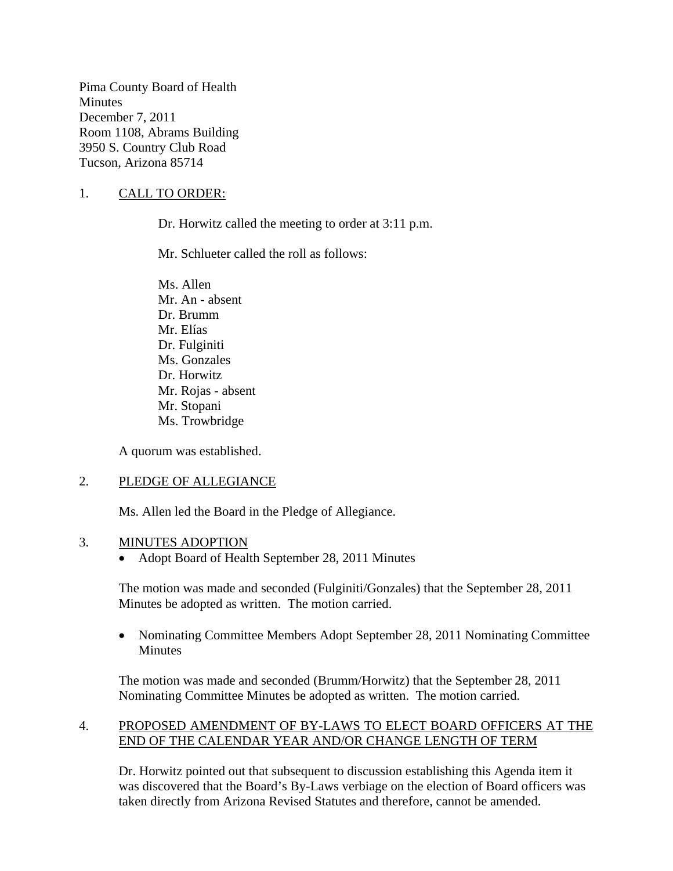Pima County Board of Health **Minutes** December 7, 2011 Room 1108, Abrams Building 3950 S. Country Club Road Tucson, Arizona 85714

## 1. CALL TO ORDER:

Dr. Horwitz called the meeting to order at 3:11 p.m.

Mr. Schlueter called the roll as follows:

Ms. Allen Mr. An - absent Dr. Brumm Mr. Elías Dr. Fulginiti Ms. Gonzales Dr. Horwitz Mr. Rojas - absent Mr. Stopani Ms. Trowbridge

A quorum was established.

### 2. PLEDGE OF ALLEGIANCE

Ms. Allen led the Board in the Pledge of Allegiance.

#### 3. MINUTES ADOPTION

• Adopt Board of Health September 28, 2011 Minutes

The motion was made and seconded (Fulginiti/Gonzales) that the September 28, 2011 Minutes be adopted as written. The motion carried.

• Nominating Committee Members Adopt September 28, 2011 Nominating Committee **Minutes** 

The motion was made and seconded (Brumm/Horwitz) that the September 28, 2011 Nominating Committee Minutes be adopted as written. The motion carried.

### 4. PROPOSED AMENDMENT OF BY-LAWS TO ELECT BOARD OFFICERS AT THE END OF THE CALENDAR YEAR AND/OR CHANGE LENGTH OF TERM

Dr. Horwitz pointed out that subsequent to discussion establishing this Agenda item it was discovered that the Board's By-Laws verbiage on the election of Board officers was taken directly from Arizona Revised Statutes and therefore, cannot be amended.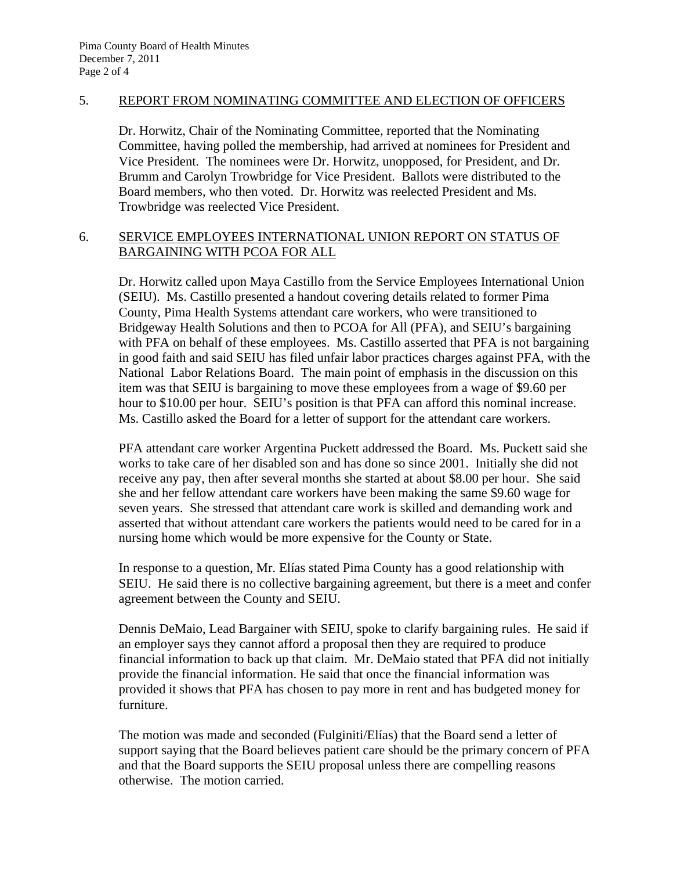### 5. REPORT FROM NOMINATING COMMITTEE AND ELECTION OF OFFICERS

Dr. Horwitz, Chair of the Nominating Committee, reported that the Nominating Committee, having polled the membership, had arrived at nominees for President and Vice President. The nominees were Dr. Horwitz, unopposed, for President, and Dr. Brumm and Carolyn Trowbridge for Vice President. Ballots were distributed to the Board members, who then voted. Dr. Horwitz was reelected President and Ms. Trowbridge was reelected Vice President.

### 6. SERVICE EMPLOYEES INTERNATIONAL UNION REPORT ON STATUS OF BARGAINING WITH PCOA FOR ALL

Dr. Horwitz called upon Maya Castillo from the Service Employees International Union (SEIU). Ms. Castillo presented a handout covering details related to former Pima County, Pima Health Systems attendant care workers, who were transitioned to Bridgeway Health Solutions and then to PCOA for All (PFA), and SEIU's bargaining with PFA on behalf of these employees. Ms. Castillo asserted that PFA is not bargaining in good faith and said SEIU has filed unfair labor practices charges against PFA, with the National Labor Relations Board. The main point of emphasis in the discussion on this item was that SEIU is bargaining to move these employees from a wage of \$9.60 per hour to \$10.00 per hour. SEIU's position is that PFA can afford this nominal increase. Ms. Castillo asked the Board for a letter of support for the attendant care workers.

PFA attendant care worker Argentina Puckett addressed the Board. Ms. Puckett said she works to take care of her disabled son and has done so since 2001. Initially she did not receive any pay, then after several months she started at about \$8.00 per hour. She said she and her fellow attendant care workers have been making the same \$9.60 wage for seven years. She stressed that attendant care work is skilled and demanding work and asserted that without attendant care workers the patients would need to be cared for in a nursing home which would be more expensive for the County or State.

In response to a question, Mr. Elías stated Pima County has a good relationship with SEIU. He said there is no collective bargaining agreement, but there is a meet and confer agreement between the County and SEIU.

Dennis DeMaio, Lead Bargainer with SEIU, spoke to clarify bargaining rules. He said if an employer says they cannot afford a proposal then they are required to produce financial information to back up that claim. Mr. DeMaio stated that PFA did not initially provide the financial information. He said that once the financial information was provided it shows that PFA has chosen to pay more in rent and has budgeted money for furniture.

The motion was made and seconded (Fulginiti/Elías) that the Board send a letter of support saying that the Board believes patient care should be the primary concern of PFA and that the Board supports the SEIU proposal unless there are compelling reasons otherwise. The motion carried.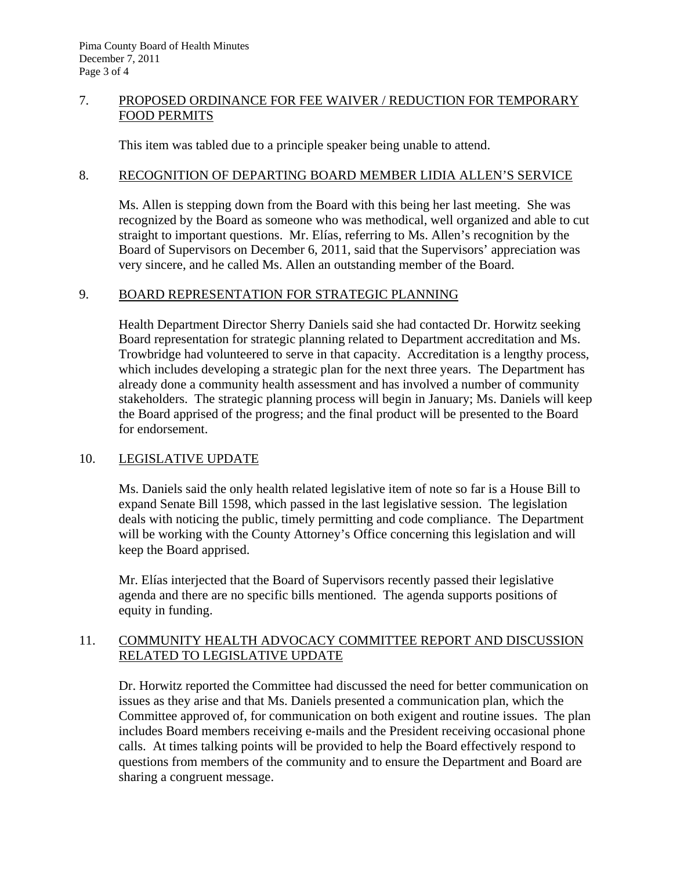# 7. PROPOSED ORDINANCE FOR FEE WAIVER / REDUCTION FOR TEMPORARY FOOD PERMITS

This item was tabled due to a principle speaker being unable to attend.

## 8. RECOGNITION OF DEPARTING BOARD MEMBER LIDIA ALLEN'S SERVICE

Ms. Allen is stepping down from the Board with this being her last meeting. She was recognized by the Board as someone who was methodical, well organized and able to cut straight to important questions. Mr. Elías, referring to Ms. Allen's recognition by the Board of Supervisors on December 6, 2011, said that the Supervisors' appreciation was very sincere, and he called Ms. Allen an outstanding member of the Board.

# 9. BOARD REPRESENTATION FOR STRATEGIC PLANNING

Health Department Director Sherry Daniels said she had contacted Dr. Horwitz seeking Board representation for strategic planning related to Department accreditation and Ms. Trowbridge had volunteered to serve in that capacity. Accreditation is a lengthy process, which includes developing a strategic plan for the next three years. The Department has already done a community health assessment and has involved a number of community stakeholders. The strategic planning process will begin in January; Ms. Daniels will keep the Board apprised of the progress; and the final product will be presented to the Board for endorsement.

# 10. LEGISLATIVE UPDATE

Ms. Daniels said the only health related legislative item of note so far is a House Bill to expand Senate Bill 1598, which passed in the last legislative session. The legislation deals with noticing the public, timely permitting and code compliance. The Department will be working with the County Attorney's Office concerning this legislation and will keep the Board apprised.

Mr. Elías interjected that the Board of Supervisors recently passed their legislative agenda and there are no specific bills mentioned. The agenda supports positions of equity in funding.

# 11. COMMUNITY HEALTH ADVOCACY COMMITTEE REPORT AND DISCUSSION RELATED TO LEGISLATIVE UPDATE

Dr. Horwitz reported the Committee had discussed the need for better communication on issues as they arise and that Ms. Daniels presented a communication plan, which the Committee approved of, for communication on both exigent and routine issues. The plan includes Board members receiving e-mails and the President receiving occasional phone calls. At times talking points will be provided to help the Board effectively respond to questions from members of the community and to ensure the Department and Board are sharing a congruent message.